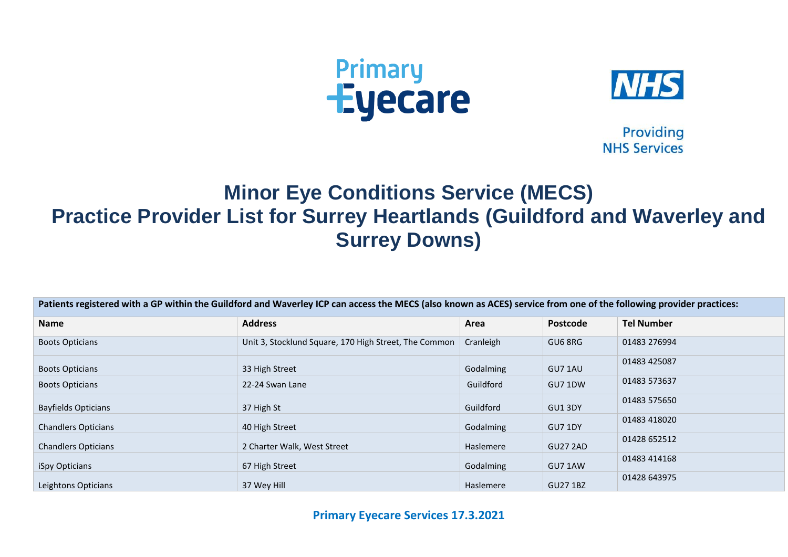



**Providing NHS Services** 

## **Minor Eye Conditions Service (MECS) Practice Provider List for Surrey Heartlands (Guildford and Waverley and Surrey Downs)**

| Patients registered with a GP within the Guildford and Waverley ICP can access the MECS (also known as ACES) service from one of the following provider practices: |                                                       |           |                 |                   |  |  |
|--------------------------------------------------------------------------------------------------------------------------------------------------------------------|-------------------------------------------------------|-----------|-----------------|-------------------|--|--|
| Name                                                                                                                                                               | <b>Address</b>                                        | Area      | Postcode        | <b>Tel Number</b> |  |  |
| <b>Boots Opticians</b>                                                                                                                                             | Unit 3, Stocklund Square, 170 High Street, The Common | Cranleigh | GU6 8RG         | 01483 276994      |  |  |
| <b>Boots Opticians</b>                                                                                                                                             | 33 High Street                                        | Godalming | GU7 1AU         | 01483 425087      |  |  |
| <b>Boots Opticians</b>                                                                                                                                             | 22-24 Swan Lane                                       | Guildford | GU7 1DW         | 01483 573637      |  |  |
| <b>Bayfields Opticians</b>                                                                                                                                         | 37 High St                                            | Guildford | GU13DY          | 01483 575650      |  |  |
| <b>Chandlers Opticians</b>                                                                                                                                         | 40 High Street                                        | Godalming | GU7 1DY         | 01483 418020      |  |  |
| <b>Chandlers Opticians</b>                                                                                                                                         | 2 Charter Walk, West Street                           | Haslemere | <b>GU27 2AD</b> | 01428 652512      |  |  |
| iSpy Opticians                                                                                                                                                     | 67 High Street                                        | Godalming | GU7 1AW         | 01483 414168      |  |  |
| Leightons Opticians                                                                                                                                                | 37 Wey Hill                                           | Haslemere | <b>GU27 1BZ</b> | 01428 643975      |  |  |

**Primary Eyecare Services 17.3.2021**